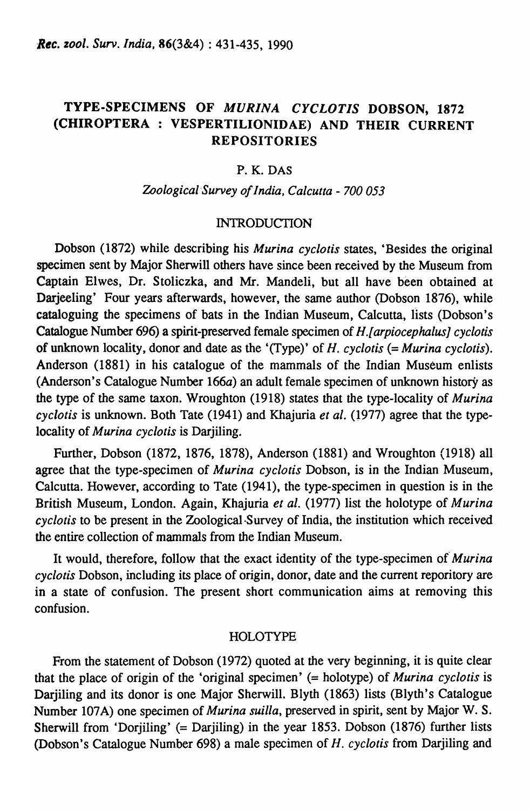# TYPE-SPECIMENS OF *MURINA CYCLOTIS* DOBSON, 1872 (CHIROPTERA : VESPERTILIONIDAE) AND THEIR CURRENT REPOSITORIES

### P. K. DAS

#### *Zo%gieal'Survey of India, Calcutta* - *700 053*

#### INTRODUCTION

Dobson (1872) while describing his *Murina eyelotis* states, 'Besides the original specimen sent by Major Sherwill others have since been received by the Museum from Captain Elwes, Dr. Stoliczka, and Mr. Mandeli, but all have been obtained at Darjeeling' Four years afterwards, however, the same author (Dobson 1876), while cataloguing the specimens of bats in the Indian Museum, Calcutta, lists (Dobson's Catalogue Number 696) a spirit-preserved female specimen of H.f *arpioeephalusj eyelotis*  of unknown locality, donor and date as the '(Type)' of *H. eyelotis* (= *Murina eyelotis).*  Anderson (1881) in his catalogue of the mammals of the Indian Museum enlists (Anderson's Catalogue Number 166a) an adult female specimen of unknown history as the type of the same taxon. Wroughton (1918) states that the type-locality of *Murina eyelotis* is unknown. Both Tate (1941) and Khajuria *et al.* (1977) agree that the typelocality of *Murina eyelotis* is Darjiling.

Further, Dobson (1872, 1876, 1878), Anderson (1881) and Wroughton (1918) all agree that the type-specimen of *Murina eyelotis* Dobson, is in the Indian Museum, Calcutta. However, according to Tate (1941), the type-specimen in question is in the British Museum, London. Again, Khajuria *et al.* (1977) list the holotype of *Murina eyelotis* to be present in the Zoological-Survey of India, the institution which received the entire collection of mammals from the Indian Museum.

It would, therefore, follow that the exact identity of the type-specimen of *Murina eyelotis* Dobson, including its place of origin, donor, date and the current reporitory are in a state of confusion. The present short communication aims at removing this confusion.

#### HOLOTYPE

From the statement of Dobson (1972) quoted at the very beginning, it is quite clear that the place of origin of the 'original specimen' (= holotype) of *Murina eyelotis* is Darjiling and its donor is one Major Sherwill. Blyth (1863) lists (Blyth's Catalogue Number 107A) one specimen of *Murina suilla,* preserved in spirit, sent by Major W. S. Sherwill from 'Dorjiling' (= Darjiling) in the year 1853. Dobson (1876) further lists (Dobson's Catalogue Number 698) a male specimen of *H. eyelotis* from Darjiling and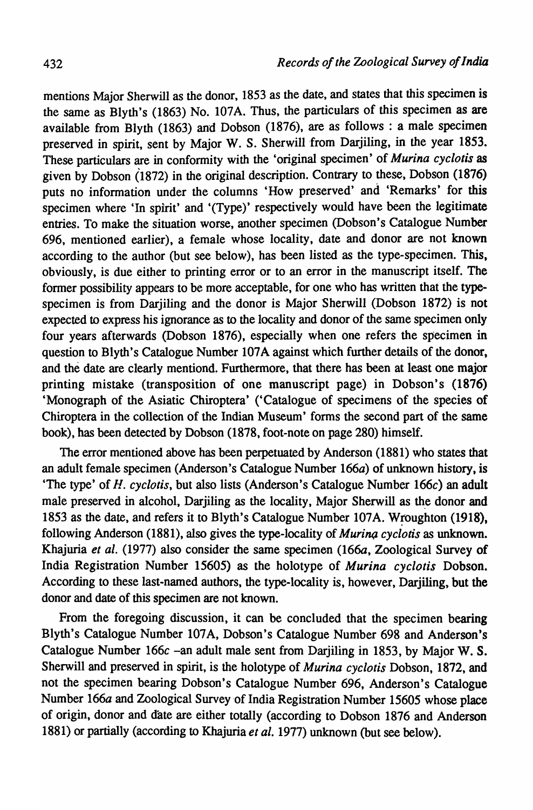mentions Major Sherwill as the donor, 1853 as the date, and states that this specimen is the same as Blyth's (1863) No. 107A. Thus, the particulars of this specimen as are available from Blyth (1863) and Dobson (1876), are as follows: a male specimen preserved in spirit, sent by Major W. S. Sherwill from DarjiIing, in the year 1853. These particulars are in conformity with the 'original specimen' of *Murina eyelotis* as given by Dobson (1872) in the original description. Contrary to these, Dobson (1876) puts no information under the columns 'How preserved' and 'Remarks' for this specimen where 'In spirit' and '(Type)' respectively would have been the legitimate entries. To make the situation worse, another specimen (Dobson's Catalogue Number 696, mentioned earlier), a female whose locality, date and donor are not known according to the author (but see below), has been listed as the type-specimen. This, obviously, is due either to printing error or to an error in the manuscript itself. The former possibility appears to be more acceptable, for one who has written that the typespecimen is from Darjiling and the donor is Major Sherwill (Dobson 1872) is not expected to express his ignorance as to the locality and donor of the same specimen only four years afterwards (Dobson 1876), especially when one refers the specimen in question to Blyth's Catalogue Number 107A against which further details of the donor, and the date are clearly mentiond. Furthermore, that there has been at least one major printing mistake (transposition of one manuscript page) in Dobson's (1876) 'Monograph of the Asiatic Chiroptera' ('Catalogue of specimens of the species of Chiroptera in the collection of the Indian Museum' forms the second part of the same book), has been detected by Dobson (1878, foot-note on page 280) himself.

The error mentioned above has been perpetuated by Anderson (1881) who states that an adult female specimen (Anderson's Catalogue Number 166a) of unknown history, is 'The type' of *H. eye[otis,* but also lists (Anderson's Catalogue Number *166e)* an adult male preserved in alcohol, Darjiling as the locality, Major Sherwill as the donor and 1853 as the date, and refers it to Blyth's Catalogue Number 107A. Wroughton (1918), following Anderson (1881), also gives the type-locality of *Murina cyclotis* as unknown. Khajuria et al. (1977) also consider the same specimen (166a, Zoological Survey of India Registration Number 15605) as the holotype of *Murina eyelotis* Dobson. According to these last-named authors, the type-locality is, however, Darjiling, but the donor and date of this specimen are not known.

From the foregoing discussion, it can be concluded that the specimen bearing Blyth's Catalogue Number 107A, Dobson's Catalogue Number 698 and Anderson's Catalogue Number 166c -an adult male sent from Darjiling in 1853, by Major W. S. Sherwill and preserved in spirit, is the holotype of *Murina eyelotis* Dobson, 1872, and not the specimen bearing Dobson's Catalogue Number 696, Anderson's Catalogue Number 166a and Zoological Survey of India Registration Number 15605 whose place of origin, donor and date are either totally (according to Dobson 1876 and Anderson 1881) or partially (according to Khajuria et al. 1977) unknown (but see below).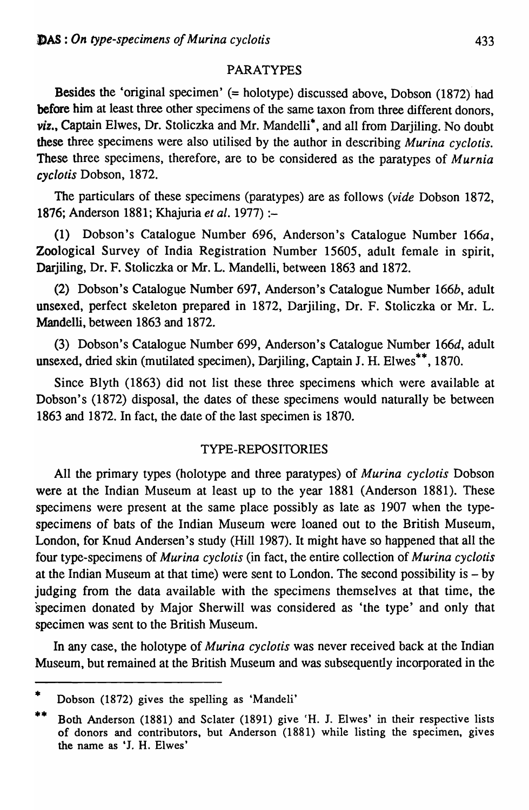## PARATYPES

Besides the 'original specimen' (= holotype) discussed above, Dobson (1872) had before him at least three other specimens of the same taxon from three different donors, *viz.,* Captain Elwes, Dr. Stoliczka and Mr. Mandelli\*, and all from Darjiling. No doubt these three specimens were also utilised by the author in describing *Murina eyelotis.*  These three specimens, therefore, are to be considered as the paratypes of *Murnia eyelotis* Dobson, 1872.

The particulars of these specimens (paratypes) are as follows *(vide* Dobson 1872, 1876; Anderson 1881; Khajuria *et al.* 1977) :-

(1) Dobson's Catalogue Number 696, Anderson's Catalogue Number 166a, Zoological Survey of India Registration Number 15605, adult female in spirit, Darjiling, Dr. F. Stoliczka or Mr. L. Mandelli, between 1863 and 1872.

(2) Dobson's Catalogue Number 697, Anderson's Catalogue Number 166b, adult unsexed, perfect skeleton prepared in 1872, Darjiling, Dr. F. Stoliczka or Mr. L. Mandelli, between 1863 and 1872.

(3) Dobson's Catalogue Number 699, Anderson's Catalogue Number 166d, adult unsexed, dried skin (mutilated specimen), Darjiling, Captain J. H. Elwes\*\*, 1870.

Since Blyth (1863) did not list these three specimens which were available at Dobson's (1872) disposal, the dates of these specimens would naturally be between 1863 and 1872. In fact, the date of the last specimen is 1870.

## TYPE-REPOS ITORIES

All the primary types (holotype and three paratypes) of *Murina eyelotis* Dobson were at the Indian Museum at least up to the year 1881 (Anderson 1881). These specimens were present at the same place possibly as late as 1907 when the typespecimens of bats of the Indian Museum were loaned out to the British Museum, London, for Knud Andersen's study (Hill 1987). It might have so happened that all the four type-specimens of *Murina eyelotis* (in fact, the entire collection of *Murina eyelotis*  at the Indian Museum at that time) were sent to London. The second possibility is  $-$  by judging from the data available with the specimens themselves at that time, the specimen donated by Major Sherwill was considered as 'the type' and only that specimen was sent to the British Museum.

In any case, the holotype of *Murina eyelotis* was never received back at the Indian Museum, but remained at the British Museum and was subsequently incorporated in the

<sup>•</sup>  Dobson (1872) gives the spelling as 'Mandeli'

<sup>••</sup>  Both Anderson (1881) and Sclater (1891) give 'H. J. Elwes' in their respective lists of donors and contributors, but Anderson (1881) while listing the specimen, gives the name as 'J. H. Elwes'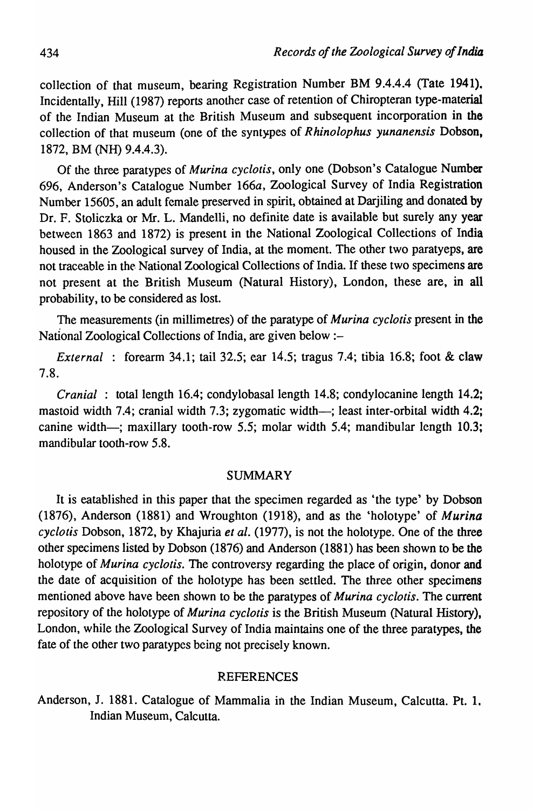collection of that museum, bearing Registration Number BM 9.4.4.4 (Tate 1941). Incidentally, Hill (1987) reports another case of retention of Chiropteran type-material of the Indian Museum at the British Museum and subsequent incorporation in the collection of that museum (one of the syntypes of *Rhinolophus yunanensis* Dobson, 1872, BM (NH) 9.4.4.3).

Of the three paratypes of *Murina eyelotis,* only one (Dobson's Catalogue Number 696, Anderson's Catalogue Number 166a, Zoological Survey of India Registration Number 15605, an adult female preserved in spirit, obtained at Darjiling and donated by Dr. F. Stoliczka or Mr. L. Mandelli, no definite date is available but surely any year between 1863 and 1872) is present in the National Zoological Collections of India housed in the Zoological survey of India, at the moment. The other two paratyeps, are not traceable in the: National Zoological Collections of India. If these two specimens are not present at the British Museum (Natural History), London, these are, in all probability, to be considered as lost.

The measurements (in millimetres) of the paratype of *Murina eyelotis* present in the National Zoological Collections of India, are given below :-

*External* : forearm 34.1; tail 32.5; ear 14.5; tragus 7.4; tibia 16.8; foot & claw 7.8.

*Cranial* : total length 16.4; condylobasal length 14.8; condylocanine length 14.2; mastoid width 7.4; cranial width 7.3; zygomatic width—; least inter-orbital width 4.2; canine width-; maxillary tooth-row 5.5; molar width 5.4; mandibular length 10.3; mandibular tooth-row 5.8.

## SUMMARY

It is eatablished in this paper that the specimen regarded as 'the type' by Dobson (1876), Anderson (1881) and Wroughton (1918), and as the 'holotype' of *Murina eyelotis* Dobson, 1872, by Khajuria *et al.* (1977), is not the holotype. One of the three other specimens listed by Dobson (1876) and Anderson (1881) has been shown to be the holotype of *Murina cyclotis*. The controversy regarding the place of origin, donor and the date of acquisition of the holotype has been settled. The three other specimens mentioned above have been shown to be the paratypes of *Murina eyelotis.* The current repository of the holotype of *Murina eyelotis* is the British Museum (Natural History), London, while the Zoological Survey of India maintains one of the three paratypes, the fate of the other two paratypes being not precisely known.

#### REFERENCES

Anderson, J. 1881. Catalogue of Mammalia in the Indian Museum, Calcutta. Pt. 1. Indian Museum, Calcutta.